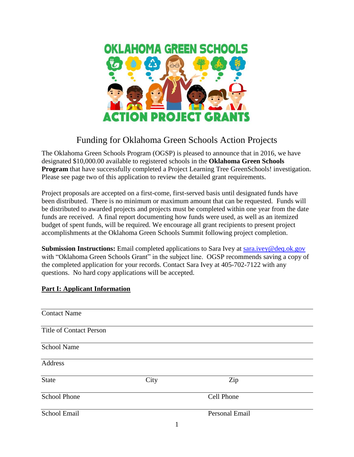

# Funding for Oklahoma Green Schools Action Projects

The Oklahoma Green Schools Program (OGSP) is pleased to announce that in 2016, we have designated \$10,000.00 available to registered schools in the **Oklahoma Green Schools Program** that have successfully completed a Project Learning Tree GreenSchools! investigation. Please see page two of this application to review the detailed grant requirements.

Project proposals are accepted on a first-come, first-served basis until designated funds have been distributed. There is no minimum or maximum amount that can be requested. Funds will be distributed to awarded projects and projects must be completed within one year from the date funds are received. A final report documenting how funds were used, as well as an itemized budget of spent funds, will be required. We encourage all grant recipients to present project accomplishments at the Oklahoma Green Schools Summit following project completion.

**Submission Instructions:** Email completed applications to Sara Ivey at [sara.ivey@deq.ok.gov](mailto:sara.ivey@deq.ok.gov) with "Oklahoma Green Schools Grant" in the subject line. OGSP recommends saving a copy of the completed application for your records. Contact Sara Ivey at 405-702-7122 with any questions. No hard copy applications will be accepted.

# **Part I: Applicant Information**

| <b>Contact Name</b>            |      |                       |  |
|--------------------------------|------|-----------------------|--|
| <b>Title of Contact Person</b> |      |                       |  |
| School Name                    |      |                       |  |
| Address                        |      |                       |  |
| <b>State</b>                   | City | Zip                   |  |
| <b>School Phone</b>            |      | Cell Phone            |  |
| School Email                   |      | <b>Personal Email</b> |  |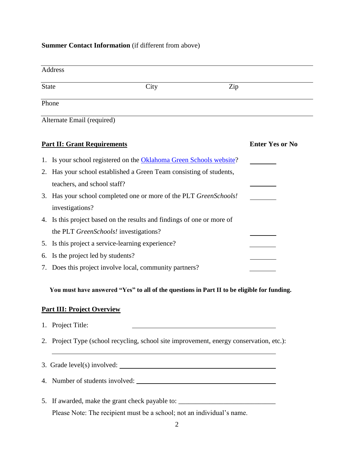#### **Summer Contact Information** (if different from above)

| Address                    |      |     |  |
|----------------------------|------|-----|--|
| <b>State</b>               | City | Zip |  |
| Phone                      |      |     |  |
| Alternate Email (required) |      |     |  |

| <b>Part II: Grant Requirements</b> |                                                                          | <b>Enter Yes or No</b> |
|------------------------------------|--------------------------------------------------------------------------|------------------------|
|                                    | 1. Is your school registered on the Oklahoma Green Schools website?      |                        |
|                                    | 2. Has your school established a Green Team consisting of students,      |                        |
|                                    | teachers, and school staff?                                              |                        |
|                                    | 3. Has your school completed one or more of the PLT <i>GreenSchools!</i> |                        |
|                                    | investigations?                                                          |                        |
|                                    | 4. Is this project based on the results and findings of one or more of   |                        |
|                                    | the PLT <i>GreenSchools!</i> investigations?                             |                        |
|                                    | 5. Is this project a service-learning experience?                        |                        |
|                                    | 6. Is the project led by students?                                       |                        |
|                                    | 7. Does this project involve local, community partners?                  |                        |

 **You must have answered "Yes" to all of the questions in Part II to be eligible for funding.**

#### **Part III: Project Overview**

| 1. | Project Title: |  |
|----|----------------|--|
|    |                |  |

2. Project Type (school recycling, school site improvement, energy conservation, etc.):

3. Grade level(s) involved:

4. Number of students involved:

5. If awarded, make the grant check payable to: \_\_\_\_\_\_\_\_\_\_\_\_\_\_\_\_\_\_\_\_\_\_\_\_\_\_\_\_\_\_\_\_ Please Note: The recipient must be a school; not an individual's name.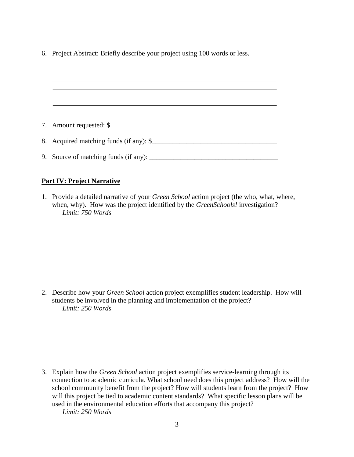6. Project Abstract: Briefly describe your project using 100 words or less.

| 7. Amount requested: \$                 |
|-----------------------------------------|
|                                         |
| 8. Acquired matching funds (if any): \$ |
|                                         |
|                                         |

#### **Part IV: Project Narrative**

1. Provide a detailed narrative of your *Green School* action project (the who, what, where, when, why). How was the project identified by the *GreenSchools!* investigation? *Limit: 750 Words*

2. Describe how your *Green School* action project exemplifies student leadership. How will students be involved in the planning and implementation of the project? *Limit: 250 Words*

3. Explain how the *Green School* action project exemplifies service-learning through its connection to academic curricula. What school need does this project address? How will the school community benefit from the project? How will students learn from the project? How will this project be tied to academic content standards? What specific lesson plans will be used in the environmental education efforts that accompany this project?

*Limit: 250 Words*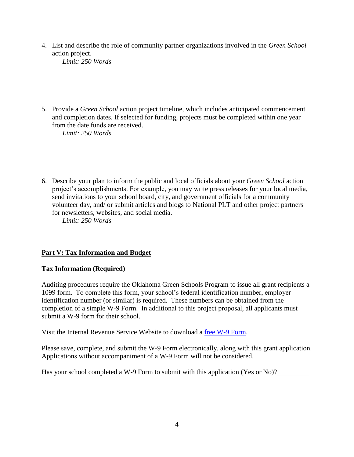4. List and describe the role of community partner organizations involved in the *Green School* action project.

*Limit: 250 Words*

5. Provide a *Green School* action project timeline, which includes anticipated commencement and completion dates. If selected for funding, projects must be completed within one year from the date funds are received.

*Limit: 250 Words*

6. Describe your plan to inform the public and local officials about your *Green School* action project's accomplishments. For example, you may write press releases for your local media, send invitations to your school board, city, and government officials for a community volunteer day, and/ or submit articles and blogs to National PLT and other project partners for newsletters, websites, and social media. *Limit: 250 Words*

# **Part V: Tax Information and Budget**

### **Tax Information (Required)**

Auditing procedures require the Oklahoma Green Schools Program to issue all grant recipients a 1099 form. To complete this form, your school's federal identification number, employer identification number (or similar) is required. These numbers can be obtained from the completion of a simple W-9 Form. In additional to this project proposal, all applicants must submit a W-9 form for their school.

Visit the Internal Revenue Service Website to download a [free W-9 Form.](http://www.irs.gov/pub/irs-pdf/fw9.pdf)

Please save, complete, and submit the W-9 Form electronically, along with this grant application. Applications without accompaniment of a W-9 Form will not be considered.

Has your school completed a W-9 Form to submit with this application (Yes or No)?